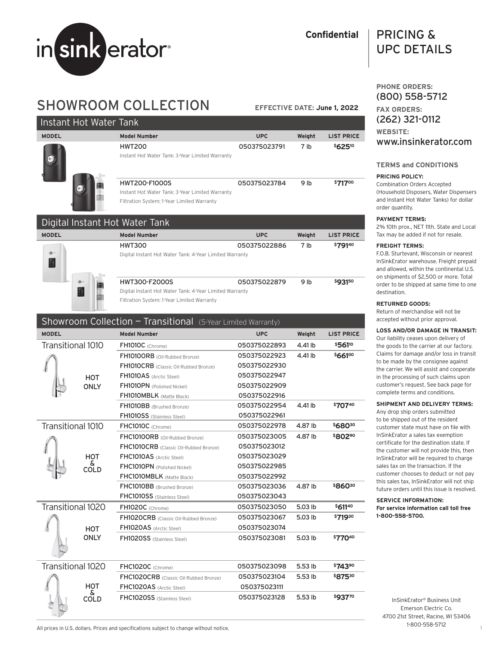

# **Confidential**

# PRICING & UPC DETAILS

# SHOWROOM COLLECTION

**EFFECTIVE DATE: June 1, 2022**

| Instant Hot Water Tank         |                                                                                                                       |              |                 |                   |  |
|--------------------------------|-----------------------------------------------------------------------------------------------------------------------|--------------|-----------------|-------------------|--|
| <b>MODEL</b>                   | <b>Model Number</b>                                                                                                   | <b>UPC</b>   | Weight          | <b>LIST PRICE</b> |  |
|                                | <b>HWT200</b><br>Instant Hot Water Tank: 3-Year Limited Warranty                                                      | 050375023791 | 7 <sub>1b</sub> | \$62510           |  |
|                                | <b>HWT200-F1000S</b><br>Instant Hot Water Tank: 3-Year Limited Warranty<br>Filtration System: 1-Year Limited Warranty | 050375023784 | 9 <sub>lb</sub> | \$71700           |  |
| Digital Instant Hot Water Tank |                                                                                                                       |              |                 |                   |  |
| <b>MODEL</b>                   | <b>Model Number</b>                                                                                                   | <b>UPC</b>   | Weight          | <b>LIST PRICE</b> |  |
| $\mathbf{a}$<br>$\frac{1}{2}$  | <b>HWT300</b><br>Digital Instant Hot Water Tank: 4-Year Limited Warranty                                              | 050375022886 | 7 <sub>1b</sub> | \$79140           |  |

| HWT300-F2000S                                           | 050375022879 | 9 lh | \$93150 |
|---------------------------------------------------------|--------------|------|---------|
| Digital Instant Hot Water Tank: 4-Year Limited Warranty |              |      |         |
| Filtration System: 1-Year Limited Warranty              |              |      |         |

# Showroom Collection - Transitional (5-Year Limited Warranty)

| <b>MODEL</b>      |                   | <b>Model Number</b>                    | <b>UPC</b>   | Weight  | <b>LIST PRICE</b> |
|-------------------|-------------------|----------------------------------------|--------------|---------|-------------------|
| Transitional 1010 |                   | FH1010C (Chrome)                       | 050375022893 | 4.41 lb | \$56110           |
|                   |                   | FH1010ORB (Oil-Rubbed Bronze)          | 050375022923 | 4.41 lb | \$66100           |
|                   |                   | FH1010CRB (Classic Oil-Rubbed Bronze)  | 050375022930 |         |                   |
|                   | <b>HOT</b>        | FH1010AS (Arctic Steel)                | 050375022947 |         |                   |
|                   | <b>ONLY</b>       | FH1010PN (Polished Nickel)             | 050375022909 |         |                   |
|                   |                   | FH1010MBLK (Matte Black)               | 050375022916 |         |                   |
|                   |                   | FH1010BB (Brushed Bronze)              | 050375022954 | 4.41 lb | \$70740           |
|                   |                   | FH1010SS (Stainless Steel)             | 050375022961 |         |                   |
| Transitional 1010 |                   | FHC1010C (Chrome)                      | 050375022978 | 4.87 lb | \$68030           |
|                   |                   | FHC1010ORB (Oil-Rubbed Bronze)         | 050375023005 | 4.87 lb | \$80290           |
|                   |                   | FHC1010CRB (Classic Oil-Rubbed Bronze) | 050375023012 |         |                   |
|                   | <b>HOT</b>        | FHC1010AS (Arctic Steel)               | 050375023029 |         |                   |
|                   | &<br>COLD         | FHC1010PN (Polished Nickel)            | 050375022985 |         |                   |
|                   |                   | FHC1010MBLK (Matte Black)              | 050375022992 |         |                   |
|                   |                   | FHC1010BB (Brushed Bronze)             | 050375023036 | 4.87 lb | \$86030           |
|                   |                   | FHC1010SS (Stainless Steel)            | 050375023043 |         |                   |
| Transitional 1020 |                   | FH1020C (Chrome)                       | 050375023050 | 5.03 lb | \$61140           |
|                   |                   | FH1020CRB (Classic Oil-Rubbed Bronze)  | 050375023067 | 5.03 lb | \$71930           |
|                   | <b>HOT</b>        | FH1020AS (Arctic Steel)                | 050375023074 |         |                   |
|                   | <b>ONLY</b>       | FH1020SS (Stainless Steel)             | 050375023081 | 5.03 lb | \$77040           |
|                   |                   |                                        |              |         |                   |
| Transitional 1020 |                   | FHC1020C (Chrome)                      | 050375023098 | 5.53 lb | \$74390           |
|                   |                   | FHC1020CRB (Classic Oil-Rubbed Bronze) | 050375023104 | 5.53 lb | \$87530           |
|                   | <b>HOT</b>        | FHC1020AS (Arctic Steel)               | 050375023111 |         |                   |
|                   | δ.<br><b>COLD</b> | FHC1020SS (Stainless Steel)            | 050375023128 | 5.53 lb | \$93770           |

# **PHONE ORDERS:** (800) 558-5712 **FAX ORDERS:** (262) 321-0112 **WEBSITE:** www.insinkerator.com

# **TERMS and CONDITIONS**

# **PRICING POLICY:**

Combination Orders Accepted (Household Disposers, Water Dispensers and Instant Hot Water Tanks) for dollar order quantity.

# **PAYMENT TERMS:**

2% 10th prox., NET 11th. State and Local Tax may be added if not for resale.

### **FREIGHT TERMS:**

F.O.B. Sturtevant, Wisconsin or nearest InSinkErator warehouse. Freight prepaid and allowed, within the continental U.S. on shipments of \$2,500 or more. Total order to be shipped at same time to one destination.

# **RETURNED GOODS:**

Return of merchandise will not be accepted without prior approval.

# **LOSS AND/OR DAMAGE IN TRANSIT:**

Our liability ceases upon delivery of the goods to the carrier at our factory. Claims for damage and/or loss in transit to be made by the consignee against the carrier. We will assist and cooperate in the processing of such claims upon customer's request. See back page for complete terms and conditions.

# **SHIPMENT AND DELIVERY TERMS:**

Any drop ship orders submitted to be shipped out of the resident customer state must have on file with InSinkErator a sales tax exemption certificate for the destination state. If the customer will not provide this, then InSinkErator will be required to charge sales tax on the transaction. If the customer chooses to deduct or not pay this sales tax, InSinkErator will not ship future orders until this issue is resolved.

#### **SERVICE INFORMATION: For service information call toll free 1-800-558-5700.**

InSinkErator® Business Unit Emerson Electric Co. 4700 21st Street, Racine, WI 53406 1-800-558-5712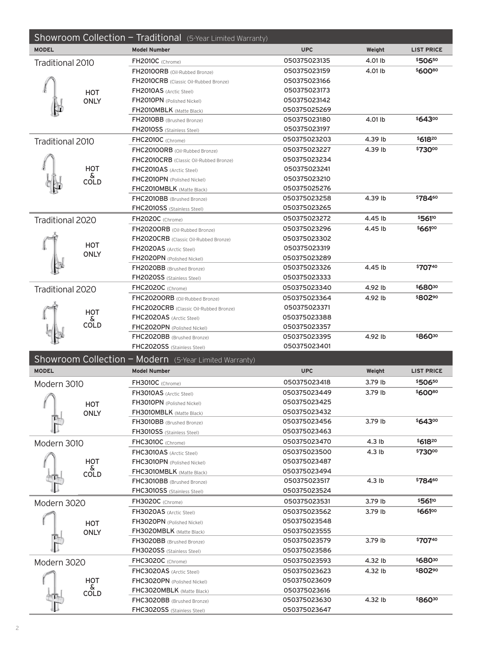|                  |                         | Showroom Collection - Traditional (5-Year Limited Warranty) |              |                   |                     |
|------------------|-------------------------|-------------------------------------------------------------|--------------|-------------------|---------------------|
| <b>MODEL</b>     |                         | <b>Model Number</b>                                         | <b>UPC</b>   | Weight            | <b>LIST PRICE</b>   |
| Traditional 2010 |                         | FH2010C (Chrome)                                            | 050375023135 | 4.01 lb           | \$50650             |
|                  |                         | FH2010ORB (Oil-Rubbed Bronze)                               | 050375023159 | 4.01 lb           | \$60080             |
|                  |                         | FH2010CRB (Classic Oil-Rubbed Bronze)                       | 050375023166 |                   |                     |
|                  | HOT                     | FH2010AS (Arctic Steel)                                     | 050375023173 |                   |                     |
|                  | <b>ONLY</b>             | FH2010PN (Polished Nickel)                                  | 050375023142 |                   |                     |
|                  |                         | FH2010MBLK (Matte Black)                                    | 050375025269 |                   |                     |
|                  |                         | FH2010BB (Brushed Bronze)                                   | 050375023180 | 4.01 lb           | \$64300             |
|                  |                         | <b>FH2010SS</b> (Stainless Steel)                           | 050375023197 |                   |                     |
| Traditional 2010 |                         | FHC2010C (Chrome)                                           | 050375023203 | 4.39 lb           | \$61820             |
|                  |                         | FHC2010ORB (Oil-Rubbed Bronze)                              | 050375023227 | 4.39 lb           | \$73000             |
|                  |                         | FHC2010CRB (Classic Oil-Rubbed Bronze)                      | 050375023234 |                   |                     |
|                  | <b>HOT</b>              | FHC2010AS (Arctic Steel)                                    | 050375023241 |                   |                     |
|                  | δ<br>COLD               | FHC2010PN (Polished Nickel)                                 | 050375023210 |                   |                     |
|                  |                         | FHC2010MBLK (Matte Black)                                   | 050375025276 |                   |                     |
|                  |                         | FHC2010BB (Brushed Bronze)                                  | 050375023258 | 4.39 lb           | \$78460             |
|                  |                         | <b>FHC2010SS</b> (Stainless Steel)                          | 050375023265 |                   |                     |
| Traditional 2020 |                         | FH2020C (Chrome)                                            | 050375023272 | 4.45 lb           | \$56110             |
|                  |                         | FH2020ORB (Oil-Rubbed Bronze)                               | 050375023296 | 4.45 lb           | \$66100             |
|                  |                         | FH2020CRB (Classic Oil-Rubbed Bronze)                       | 050375023302 |                   |                     |
|                  | HOT                     | FH2020AS (Arctic Steel)                                     | 050375023319 |                   |                     |
|                  | <b>ONLY</b>             | FH2020PN (Polished Nickel)                                  | 050375023289 |                   |                     |
|                  |                         | FH2020BB (Brushed Bronze)                                   | 050375023326 | 4.45 lb           | \$70740             |
|                  |                         | FH2020SS (Stainless Steel)                                  | 050375023333 |                   |                     |
| Traditional 2020 |                         | FHC2020C (Chrome)                                           | 050375023340 | 4.92 lb           | \$68030             |
|                  |                         | FHC2020ORB (Oil-Rubbed Bronze)                              | 050375023364 | 4.92 lb           | \$802%              |
|                  |                         | FHC2020CRB (Classic Oil-Rubbed Bronze)                      | 050375023371 |                   |                     |
|                  | HOT<br>&                | FHC2020AS (Arctic Steel)                                    | 050375023388 |                   |                     |
|                  | <b>COLD</b>             | FHC2020PN (Polished Nickel)                                 | 050375023357 |                   |                     |
|                  |                         | FHC2020BB (Brushed Bronze)                                  | 050375023395 | 4.92 lb           | \$86030             |
|                  |                         | FHC2020SS (Stainless Steel)                                 | 050375023401 |                   |                     |
|                  |                         | Showroom Collection - Modern (5-Year Limited Warranty)      |              |                   |                     |
| <b>MODEL</b>     |                         | <b>Model Number</b>                                         | <b>UPC</b>   | Weight            | <b>LIST PRICE</b>   |
| Modern 3010      |                         | FH3010C (Chrome)                                            | 050375023418 | 3.79 lb           | \$50650             |
|                  |                         | FH3010AS (Arctic Steel)                                     | 050375023449 | 3.79 lb           | \$60080             |
|                  |                         | FH3010PN (Polished Nickel)                                  | 050375023425 |                   |                     |
|                  | HOT<br><b>ONLY</b>      | FH3010MBLK (Matte Black)                                    | 050375023432 |                   |                     |
|                  |                         | FH3010BB (Brushed Bronze)                                   | 050375023456 | 3.79 lb           | \$643"              |
|                  |                         | <b>FH3010SS</b> (Stainless Steel)                           | 050375023463 |                   |                     |
| Modern 3010      |                         | FHC3010C (Chrome)                                           | 050375023470 | 4.3 <sub>lb</sub> | \$61820             |
|                  |                         | FHC3010AS (Arctic Steel)                                    | 050375023500 | 4.3 <sub>lb</sub> | \$73000             |
|                  | HOT                     | FHC3010PN (Polished Nickel)                                 | 050375023487 |                   |                     |
|                  | δ.                      | FHC3010MBLK (Matte Black)                                   | 050375023494 |                   |                     |
|                  | <b>COLD</b>             | FHC3010BB (Brushed Bronze)                                  | 050375023517 | 4.3 <sub>lb</sub> | \$784 <sup>60</sup> |
|                  |                         | FHC3010SS (Stainless Steel)                                 | 050375023524 |                   |                     |
|                  |                         | FH3020C (Chrome)                                            | 050375023531 | 3.79 lb           | \$56110             |
| Modern 3020      | FH3020AS (Arctic Steel) | 050375023562                                                | 3.79 lb      | \$66100           |                     |
|                  |                         | FH3020PN (Polished Nickel)                                  | 050375023548 |                   |                     |
|                  | HOT                     | FH3020MBLK (Matte Black)                                    | 050375023555 |                   |                     |
|                  | <b>ONLY</b>             | FH3020BB (Brushed Bronze)                                   | 050375023579 | 3.79 lb           | \$70740             |
|                  |                         | FH3020SS (Stainless Steel)                                  | 050375023586 |                   |                     |
|                  |                         |                                                             | 050375023593 | 4.32 lb           | \$68030             |
| Modern 3020      |                         | FHC3020C (Chrome)                                           |              |                   |                     |
|                  |                         | FHC3020AS (Arctic Steel)                                    | 050375023623 | 4.32 lb           | \$80290             |
|                  | HOT<br>òκ.              | FHC3020PN (Polished Nickel)                                 | 050375023609 |                   |                     |
|                  | COLD                    | FHC3020MBLK (Matte Black)                                   | 050375023616 |                   |                     |
|                  |                         | FHC3020BB (Brushed Bronze)                                  | 050375023630 | 4.32 lb           | \$86030             |
|                  |                         | FHC3020SS (Stainless Steel)                                 | 050375023647 |                   |                     |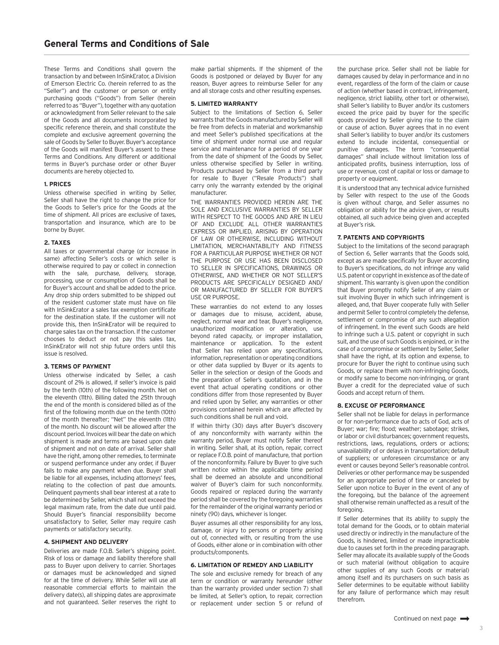These Terms and Conditions shall govern the transaction by and between InSinkErator, a Division of Emerson Electric Co. (herein referred to as the "Seller") and the customer or person or entity purchasing goods ("Goods") from Seller (herein referred to as "Buyer"), together with any quotation or acknowledgment from Seller relevant to the sale of the Goods and all documents incorporated by specific reference therein, and shall constitute the complete and exclusive agreement governing the sale of Goods by Seller to Buyer. Buyer's acceptance of the Goods will manifest Buyer's assent to these Terms and Conditions. Any different or additional terms in Buyer's purchase order or other Buyer documents are hereby objected to.

# **1. PRICES**

Unless otherwise specified in writing by Seller, Seller shall have the right to change the price for the Goods to Seller's price for the Goods at the time of shipment. All prices are exclusive of taxes, transportation and insurance, which are to be borne by Buyer.

# **2. TAXES**

All taxes or governmental charge (or increase in same) affecting Seller's costs or which seller is otherwise required to pay or collect in connection with the sale, purchase, delivery, storage, processing, use or consumption of Goods shall be for Buyer's account and shall be added to the price. Any drop ship orders submitted to be shipped out of the resident customer state must have on file with InSinkErator a sales tax exemption certificate for the destination state. If the customer will not provide this, then InSinkErator will be required to charge sales tax on the transaction. If the customer chooses to deduct or not pay this sales tax, InSinkErator will not ship future orders until this issue is resolved.

# **3. TERMS OF PAYMENT**

Unless otherwise indicated by Seller, a cash discount of 2% is allowed, if seller's invoice is paid by the tenth (10th) of the following month. Net on the eleventh (11th). Billing dated the 25th through the end of the month is considered billed as of the first of the following month due on the tenth (10th) of the month thereafter; "Net" the eleventh (11th) of the month. No discount will be allowed after the discount period. Invoices will bear the date on which shipment is made and terms are based upon date of shipment and not on date of arrival. Seller shall have the right, among other remedies, to terminate or suspend performance under any order, if Buyer fails to make any payment when due. Buyer shall be liable for all expenses, including attorneys' fees, relating to the collection of past due amounts. Delinquent payments shall bear interest at a rate to be determined by Seller, which shall not exceed the legal maximum rate, from the date due until paid. Should Buyer's financial responsibility become unsatisfactory to Seller, Seller may require cash payments or satisfactory security.

### **4. SHIPMENT AND DELIVERY**

Deliveries are made F.O.B. Seller's shipping point. Risk of loss or damage and liability therefore shall pass to Buyer upon delivery to carrier. Shortages or damages must be acknowledged and signed for at the time of delivery. While Seller will use all reasonable commercial efforts to maintain the delivery date(s), all shipping dates are approximate and not guaranteed. Seller reserves the right to

make partial shipments. If the shipment of the Goods is postponed or delayed by Buyer for any reason, Buyer agrees to reimburse Seller for any and all storage costs and other resulting expenses.

#### **5. LIMITED WARRANTY**

Subject to the limitations of Section 6, Seller warrants that the Goods manufactured by Seller will be free from defects in material and workmanship and meet Seller's published specifications at the time of shipment under normal use and regular service and maintenance for a period of one year from the date of shipment of the Goods by Seller, unless otherwise specified by Seller in writing. Products purchased by Seller from a third party for resale to Buyer ("Resale Products") shall carry only the warranty extended by the original manufacturer.

THE WARRANTIES PROVIDED HEREIN ARE THE SOLE AND EXCLUSIVE WARRANTIES BY SELLER WITH RESPECT TO THE GOODS AND ARE IN LIEU OF AND EXCLUDE ALL OTHER WARRANTIES EXPRESS OR IMPLIED, ARISING BY OPERATION OF LAW OR OTHERWISE, INCLUDING WITHOUT LIMITATION, MERCHANTABILITY AND FITNESS FOR A PARTICULAR PURPOSE WHETHER OR NOT THE PURPOSE OR USE HAS BEEN DISCLOSED TO SELLER IN SPECIFICATIONS, DRAWINGS OR OTHERWISE, AND WHETHER OR NOT SELLER'S PRODUCTS ARE SPECIFICALLY DESIGNED AND/ OR MANUFACTURED BY SELLER FOR BUYER'S USE OR PURPOSE.

These warranties do not extend to any losses or damages due to misuse, accident, abuse, neglect, normal wear and tear, Buyer's negligence, unauthorized modification or alteration, use beyond rated capacity, or improper installation, maintenance or application. To the extent that Seller has relied upon any specifications, information, representation or operating conditions or other data supplied by Buyer or its agents to Seller in the selection or design of the Goods and the preparation of Seller's quotation, and in the event that actual operating conditions or other conditions differ from those represented by Buyer and relied upon by Seller, any warranties or other provisions contained herein which are affected by such conditions shall be null and void.

If within thirty (30) days after Buyer's discovery of any nonconformity with warranty within the warranty period, Buyer must notify Seller thereof in writing. Seller shall, at its option, repair, correct or replace F.O.B. point of manufacture, that portion of the nonconformity. Failure by Buyer to give such written notice within the applicable time period shall be deemed an absolute and unconditional waiver of Buyer's claim for such nonconformity. Goods repaired or replaced during the warranty period shall be covered by the foregoing warranties for the remainder of the original warranty period or ninety (90) days, whichever is longer.

Buyer assumes all other responsibility for any loss, damage, or injury to persons or property arising out of, connected with, or resulting from the use of Goods, either alone or in combination with other products/components.

#### **6. LIMITATION OF REMEDY AND LIABILITY**

The sole and exclusive remedy for breach of any term or condition or warranty hereunder (other than the warranty provided under section 7) shall be limited, at Seller's option, to repair, correction or replacement under section 5 or refund of

the purchase price. Seller shall not be liable for damages caused by delay in performance and in no event, regardless of the form of the claim or cause of action (whether based in contract, infringement, negligence, strict liability, other tort or otherwise), shall Seller's liability to Buyer and/or its customers exceed the price paid by buyer for the specific goods provided by Seller giving rise to the claim or cause of action. Buyer agrees that in no event shall Seller's liability to buyer and/or its customers extend to include incidental, consequential or punitive damages. The term "consequential damages" shall include without limitation loss of anticipated profits, business interruption, loss of use or revenue, cost of capital or loss or damage to property or equipment.

It is understood that any technical advice furnished by Seller with respect to the use of the Goods is given without charge, and Seller assumes no obligation or ability for the advice given, or results obtained, all such advice being given and accepted at Buyer's risk.

#### **7. PATENTS AND COPYRIGHTS**

Subject to the limitations of the second paragraph of Section 6, Seller warrants that the Goods sold, except as are made specifically for Buyer according to Buyer's specifications, do not infringe any valid U.S. patent or copyright in existence as of the date of shipment. This warranty is given upon the condition that Buyer promptly notify Seller of any claim or suit involving Buyer in which such infringement is alleged, and, that Buyer cooperate fully with Seller and permit Seller to control completely the defense, settlement or compromise of any such allegation of infringement. In the event such Goods are held to infringe such a U.S. patent or copyright in such suit, and the use of such Goods is enjoined, or in the case of a compromise or settlement by Seller, Seller shall have the right, at its option and expense, to procure for Buyer the right to continue using such Goods, or replace them with non-infringing Goods, or modify same to become non-infringing, or grant Buyer a credit for the depreciated value of such Goods and accept return of them.

### **8. EXCUSE OF PERFORMANCE**

Seller shall not be liable for delays in performance or for non-performance due to acts of God, acts of Buyer; war; fire; flood; weather; sabotage; strikes, or labor or civil disturbances; government requests, restrictions, laws, regulations, orders or actions; unavailability of or delays in transportation; default of suppliers; or unforeseen circumstance or any event or causes beyond Seller's reasonable control. Deliveries or other performance may be suspended for an appropriate period of time or canceled by Seller upon notice to Buyer in the event of any of the foregoing, but the balance of the agreement shall otherwise remain unaffected as a result of the foregoing.

If Seller determines that its ability to supply the total demand for the Goods, or to obtain material used directly or indirectly in the manufacture of the Goods, is hindered, limited or made impracticable due to causes set forth in the preceding paragraph. Seller may allocate its available supply of the Goods or such material (without obligation to acquire other supplies of any such Goods or material) among itself and its purchasers on such basis as Seller determines to be equitable without liability for any failure of performance which may result therefrom.